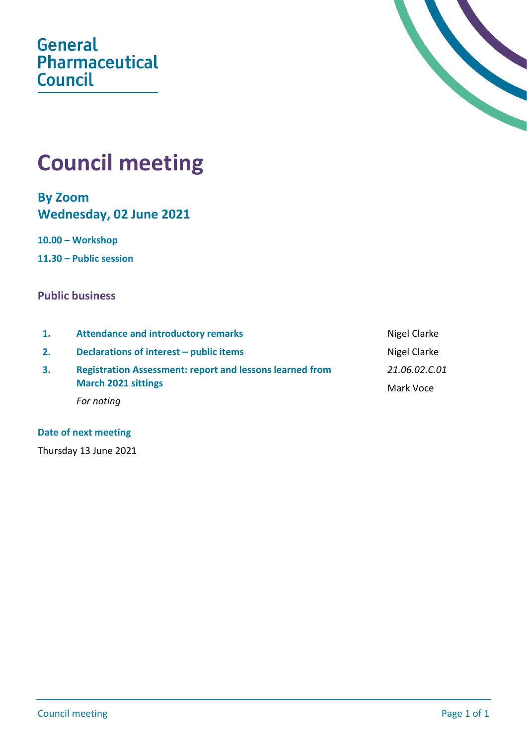**General** Pharmaceutical **Council** 



# **Council meeting**

**By Zoom Wednesday, 02 June 2021**

**10.00 – Workshop**

**11.30 – Public session**

## **Public business**

| 1. | <b>Attendance and introductory remarks</b>                                                    | Nigel Clarke               |
|----|-----------------------------------------------------------------------------------------------|----------------------------|
| 2. | Declarations of interest – public items                                                       | Nigel Clarke               |
| 3. | <b>Registration Assessment: report and lessons learned from</b><br><b>March 2021 sittings</b> | 21.06.02.C.01<br>Mark Voce |
|    | For noting                                                                                    |                            |

#### **Date of next meeting**

Thursday 13 June 2021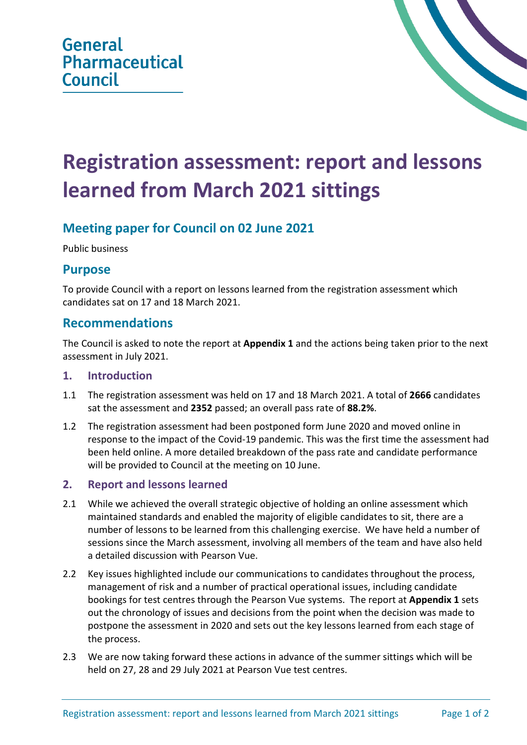# **Registration assessment: report and lessons learned from March 2021 sittings**

# **Meeting paper for Council on 02 June 2021**

Public business

## **Purpose**

To provide Council with a report on lessons learned from the registration assessment which candidates sat on 17 and 18 March 2021.

## **Recommendations**

The Council is asked to note the report at **Appendix 1** and the actions being taken prior to the next assessment in July 2021.

#### **1. Introduction**

- 1.1 The registration assessment was held on 17 and 18 March 2021. A total of **2666** candidates sat the assessment and **2352** passed; an overall pass rate of **88.2%**.
- 1.2 The registration assessment had been postponed form June 2020 and moved online in response to the impact of the Covid-19 pandemic. This was the first time the assessment had been held online. A more detailed breakdown of the pass rate and candidate performance will be provided to Council at the meeting on 10 June.

### **2. Report and lessons learned**

- 2.1 While we achieved the overall strategic objective of holding an online assessment which maintained standards and enabled the majority of eligible candidates to sit, there are a number of lessons to be learned from this challenging exercise. We have held a number of sessions since the March assessment, involving all members of the team and have also held a detailed discussion with Pearson Vue.
- 2.2 Key issues highlighted include our communications to candidates throughout the process, management of risk and a number of practical operational issues, including candidate bookings for test centres through the Pearson Vue systems. The report at **Appendix 1** sets out the chronology of issues and decisions from the point when the decision was made to postpone the assessment in 2020 and sets out the key lessons learned from each stage of the process.
- 2.3 We are now taking forward these actions in advance of the summer sittings which will be held on 27, 28 and 29 July 2021 at Pearson Vue test centres.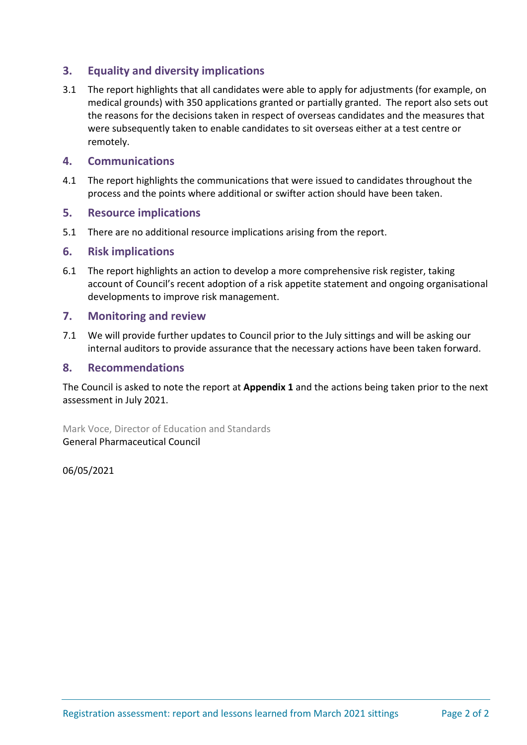### **3. Equality and diversity implications**

3.1 The report highlights that all candidates were able to apply for adjustments (for example, on medical grounds) with 350 applications granted or partially granted. The report also sets out the reasons for the decisions taken in respect of overseas candidates and the measures that were subsequently taken to enable candidates to sit overseas either at a test centre or remotely.

#### **4. Communications**

4.1 The report highlights the communications that were issued to candidates throughout the process and the points where additional or swifter action should have been taken.

#### **5. Resource implications**

5.1 There are no additional resource implications arising from the report.

#### **6. Risk implications**

6.1 The report highlights an action to develop a more comprehensive risk register, taking account of Council's recent adoption of a risk appetite statement and ongoing organisational developments to improve risk management.

#### **7. Monitoring and review**

7.1 We will provide further updates to Council prior to the July sittings and will be asking our internal auditors to provide assurance that the necessary actions have been taken forward.

#### **8. Recommendations**

The Council is asked to note the report at **Appendix 1** and the actions being taken prior to the next assessment in July 2021.

Mark Voce, Director of Education and Standards General Pharmaceutical Council

06/05/2021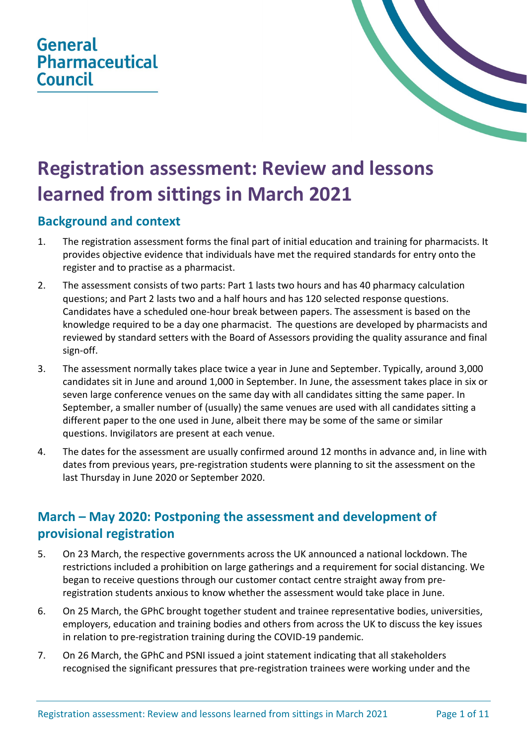# **General Pharmaceutical Council**



# **Registration assessment: Review and lessons learned from sittings in March 2021**

# **Background and context**

- 1. The registration assessment forms the final part of initial education and training for pharmacists. It provides objective evidence that individuals have met the required standards for entry onto the register and to practise as a pharmacist.
- 2. The assessment consists of two parts: Part 1 lasts two hours and has 40 pharmacy calculation questions; and Part 2 lasts two and a half hours and has 120 selected response questions. Candidates have a scheduled one-hour break between papers. The assessment is based on the knowledge required to be a day one pharmacist. The questions are developed by pharmacists and reviewed by standard setters with the Board of Assessors providing the quality assurance and final sign-off.
- 3. The assessment normally takes place twice a year in June and September. Typically, around 3,000 candidates sit in June and around 1,000 in September. In June, the assessment takes place in six or seven large conference venues on the same day with all candidates sitting the same paper. In September, a smaller number of (usually) the same venues are used with all candidates sitting a different paper to the one used in June, albeit there may be some of the same or similar questions. Invigilators are present at each venue.
- 4. The dates for the assessment are usually confirmed around 12 months in advance and, in line with dates from previous years, pre-registration students were planning to sit the assessment on the last Thursday in June 2020 or September 2020.

# **March – May 2020: Postponing the assessment and development of provisional registration**

- 5. On 23 March, the respective governments across the UK announced a national lockdown. The restrictions included a prohibition on large gatherings and a requirement for social distancing. We began to receive questions through our customer contact centre straight away from preregistration students anxious to know whether the assessment would take place in June.
- 6. On 25 March, the GPhC brought together student and trainee representative bodies, universities, employers, education and training bodies and others from across the UK to discuss the key issues in relation to pre-registration training during the COVID-19 pandemic.
- 7. On 26 March, the GPhC and PSNI issued a joint statement indicating that all stakeholders recognised the significant pressures that pre-registration trainees were working under and the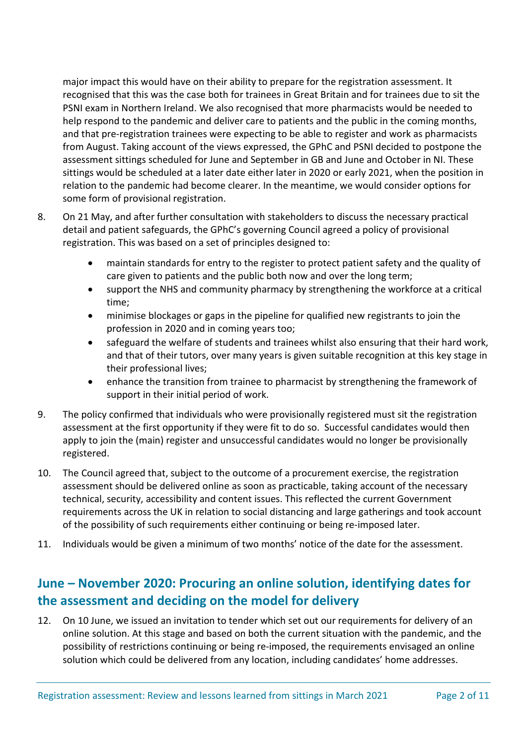major impact this would have on their ability to prepare for the registration assessment. It recognised that this was the case both for trainees in Great Britain and for trainees due to sit the PSNI exam in Northern Ireland. We also recognised that more pharmacists would be needed to help respond to the pandemic and deliver care to patients and the public in the coming months, and that pre-registration trainees were expecting to be able to register and work as pharmacists from August. Taking account of the views expressed, the GPhC and PSNI decided to postpone the assessment sittings scheduled for June and September in GB and June and October in NI. These sittings would be scheduled at a later date either later in 2020 or early 2021, when the position in relation to the pandemic had become clearer. In the meantime, we would consider options for some form of provisional registration.

- 8. On 21 May, and after further consultation with stakeholders to discuss the necessary practical detail and patient safeguards, the GPhC's governing Council agreed a policy of provisional registration. This was based on a set of principles designed to:
	- maintain standards for entry to the register to protect patient safety and the quality of care given to patients and the public both now and over the long term;
	- support the NHS and community pharmacy by strengthening the workforce at a critical time;
	- minimise blockages or gaps in the pipeline for qualified new registrants to join the profession in 2020 and in coming years too;
	- safeguard the welfare of students and trainees whilst also ensuring that their hard work, and that of their tutors, over many years is given suitable recognition at this key stage in their professional lives;
	- enhance the transition from trainee to pharmacist by strengthening the framework of support in their initial period of work.
- 9. The policy confirmed that individuals who were provisionally registered must sit the registration assessment at the first opportunity if they were fit to do so. Successful candidates would then apply to join the (main) register and unsuccessful candidates would no longer be provisionally registered.
- 10. The Council agreed that, subject to the outcome of a procurement exercise, the registration assessment should be delivered online as soon as practicable, taking account of the necessary technical, security, accessibility and content issues. This reflected the current Government requirements across the UK in relation to social distancing and large gatherings and took account of the possibility of such requirements either continuing or being re-imposed later.
- 11. Individuals would be given a minimum of two months' notice of the date for the assessment.

# **June – November 2020: Procuring an online solution, identifying dates for the assessment and deciding on the model for delivery**

12. On 10 June, we issued an invitation to tender which set out our requirements for delivery of an online solution. At this stage and based on both the current situation with the pandemic, and the possibility of restrictions continuing or being re-imposed, the requirements envisaged an online solution which could be delivered from any location, including candidates' home addresses.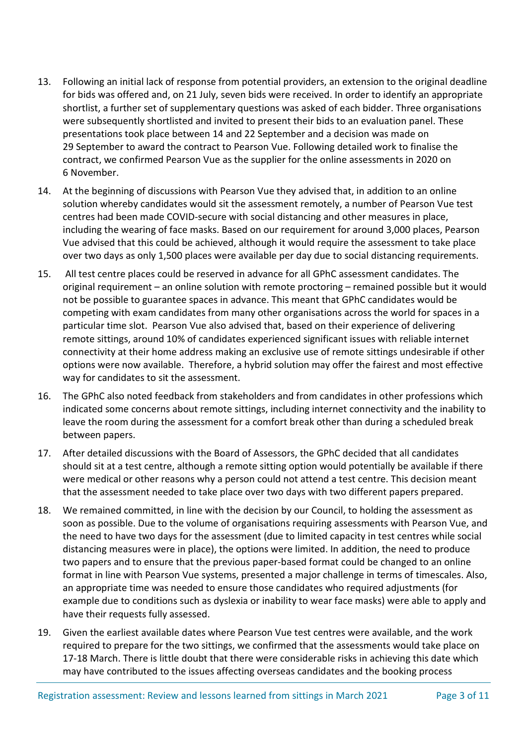- 13. Following an initial lack of response from potential providers, an extension to the original deadline for bids was offered and, on 21 July, seven bids were received. In order to identify an appropriate shortlist, a further set of supplementary questions was asked of each bidder. Three organisations were subsequently shortlisted and invited to present their bids to an evaluation panel. These presentations took place between 14 and 22 September and a decision was made on 29 September to award the contract to Pearson Vue. Following detailed work to finalise the contract, we confirmed Pearson Vue as the supplier for the online assessments in 2020 on 6 November.
- 14. At the beginning of discussions with Pearson Vue they advised that, in addition to an online solution whereby candidates would sit the assessment remotely, a number of Pearson Vue test centres had been made COVID-secure with social distancing and other measures in place, including the wearing of face masks. Based on our requirement for around 3,000 places, Pearson Vue advised that this could be achieved, although it would require the assessment to take place over two days as only 1,500 places were available per day due to social distancing requirements.
- 15. All test centre places could be reserved in advance for all GPhC assessment candidates. The original requirement – an online solution with remote proctoring – remained possible but it would not be possible to guarantee spaces in advance. This meant that GPhC candidates would be competing with exam candidates from many other organisations across the world for spaces in a particular time slot. Pearson Vue also advised that, based on their experience of delivering remote sittings, around 10% of candidates experienced significant issues with reliable internet connectivity at their home address making an exclusive use of remote sittings undesirable if other options were now available. Therefore, a hybrid solution may offer the fairest and most effective way for candidates to sit the assessment.
- 16. The GPhC also noted feedback from stakeholders and from candidates in other professions which indicated some concerns about remote sittings, including internet connectivity and the inability to leave the room during the assessment for a comfort break other than during a scheduled break between papers.
- 17. After detailed discussions with the Board of Assessors, the GPhC decided that all candidates should sit at a test centre, although a remote sitting option would potentially be available if there were medical or other reasons why a person could not attend a test centre. This decision meant that the assessment needed to take place over two days with two different papers prepared.
- 18. We remained committed, in line with the decision by our Council, to holding the assessment as soon as possible. Due to the volume of organisations requiring assessments with Pearson Vue, and the need to have two days for the assessment (due to limited capacity in test centres while social distancing measures were in place), the options were limited. In addition, the need to produce two papers and to ensure that the previous paper-based format could be changed to an online format in line with Pearson Vue systems, presented a major challenge in terms of timescales. Also, an appropriate time was needed to ensure those candidates who required adjustments (for example due to conditions such as dyslexia or inability to wear face masks) were able to apply and have their requests fully assessed.
- 19. Given the earliest available dates where Pearson Vue test centres were available, and the work required to prepare for the two sittings, we confirmed that the assessments would take place on 17-18 March. There is little doubt that there were considerable risks in achieving this date which may have contributed to the issues affecting overseas candidates and the booking process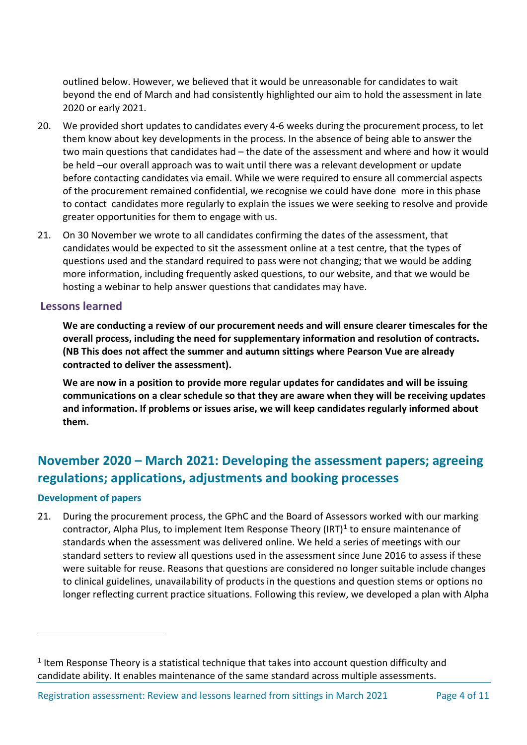outlined below. However, we believed that it would be unreasonable for candidates to wait beyond the end of March and had consistently highlighted our aim to hold the assessment in late 2020 or early 2021.

- 20. We provided short updates to candidates every 4-6 weeks during the procurement process, to let them know about key developments in the process. In the absence of being able to answer the two main questions that candidates had – the date of the assessment and where and how it would be held –our overall approach was to wait until there was a relevant development or update before contacting candidates via email. While we were required to ensure all commercial aspects of the procurement remained confidential, we recognise we could have done more in this phase to contact candidates more regularly to explain the issues we were seeking to resolve and provide greater opportunities for them to engage with us.
- 21. On 30 November we wrote to all candidates confirming the dates of the assessment, that candidates would be expected to sit the assessment online at a test centre, that the types of questions used and the standard required to pass were not changing; that we would be adding more information, including frequently asked questions, to our website, and that we would be hosting a webinar to help answer questions that candidates may have.

#### **Lessons learned**

**We are conducting a review of our procurement needs and will ensure clearer timescales for the overall process, including the need for supplementary information and resolution of contracts. (NB This does not affect the summer and autumn sittings where Pearson Vue are already contracted to deliver the assessment).**

**We are now in a position to provide more regular updates for candidates and will be issuing communications on a clear schedule so that they are aware when they will be receiving updates and information. If problems or issues arise, we will keep candidates regularly informed about them.**

# **November 2020 – March 2021: Developing the assessment papers; agreeing regulations; applications, adjustments and booking processes**

#### **Development of papers**

21. During the procurement process, the GPhC and the Board of Assessors worked with our marking contractor, Alpha Plus, to implement Item Response Theory (IRT) $<sup>1</sup>$  $<sup>1</sup>$  $<sup>1</sup>$  to ensure maintenance of</sup> standards when the assessment was delivered online. We held a series of meetings with our standard setters to review all questions used in the assessment since June 2016 to assess if these were suitable for reuse. Reasons that questions are considered no longer suitable include changes to clinical guidelines, unavailability of products in the questions and question stems or options no longer reflecting current practice situations. Following this review, we developed a plan with Alpha

<span id="page-6-0"></span> $<sup>1</sup>$  Item Response Theory is a statistical technique that takes into account question difficulty and</sup> candidate ability. It enables maintenance of the same standard across multiple assessments.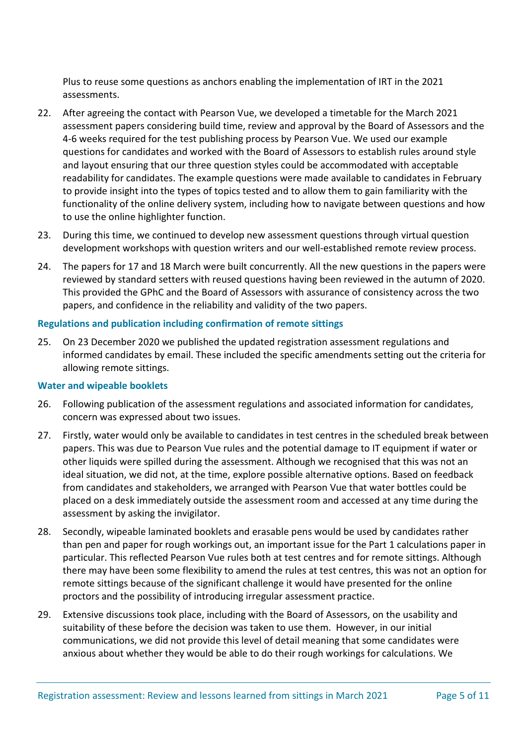Plus to reuse some questions as anchors enabling the implementation of IRT in the 2021 assessments.

- 22. After agreeing the contact with Pearson Vue, we developed a timetable for the March 2021 assessment papers considering build time, review and approval by the Board of Assessors and the 4-6 weeks required for the test publishing process by Pearson Vue. We used our example questions for candidates and worked with the Board of Assessors to establish rules around style and layout ensuring that our three question styles could be accommodated with acceptable readability for candidates. The example questions were made available to candidates in February to provide insight into the types of topics tested and to allow them to gain familiarity with the functionality of the online delivery system, including how to navigate between questions and how to use the online highlighter function.
- 23. During this time, we continued to develop new assessment questions through virtual question development workshops with question writers and our well-established remote review process.
- 24. The papers for 17 and 18 March were built concurrently. All the new questions in the papers were reviewed by standard setters with reused questions having been reviewed in the autumn of 2020. This provided the GPhC and the Board of Assessors with assurance of consistency across the two papers, and confidence in the reliability and validity of the two papers.

#### **Regulations and publication including confirmation of remote sittings**

25. On 23 December 2020 we published the updated registration assessment regulations and informed candidates by email. These included the specific amendments setting out the criteria for allowing remote sittings.

#### **Water and wipeable booklets**

- 26. Following publication of the assessment regulations and associated information for candidates, concern was expressed about two issues.
- 27. Firstly, water would only be available to candidates in test centres in the scheduled break between papers. This was due to Pearson Vue rules and the potential damage to IT equipment if water or other liquids were spilled during the assessment. Although we recognised that this was not an ideal situation, we did not, at the time, explore possible alternative options. Based on feedback from candidates and stakeholders, we arranged with Pearson Vue that water bottles could be placed on a desk immediately outside the assessment room and accessed at any time during the assessment by asking the invigilator.
- 28. Secondly, wipeable laminated booklets and erasable pens would be used by candidates rather than pen and paper for rough workings out, an important issue for the Part 1 calculations paper in particular. This reflected Pearson Vue rules both at test centres and for remote sittings. Although there may have been some flexibility to amend the rules at test centres, this was not an option for remote sittings because of the significant challenge it would have presented for the online proctors and the possibility of introducing irregular assessment practice.
- 29. Extensive discussions took place, including with the Board of Assessors, on the usability and suitability of these before the decision was taken to use them. However, in our initial communications, we did not provide this level of detail meaning that some candidates were anxious about whether they would be able to do their rough workings for calculations. We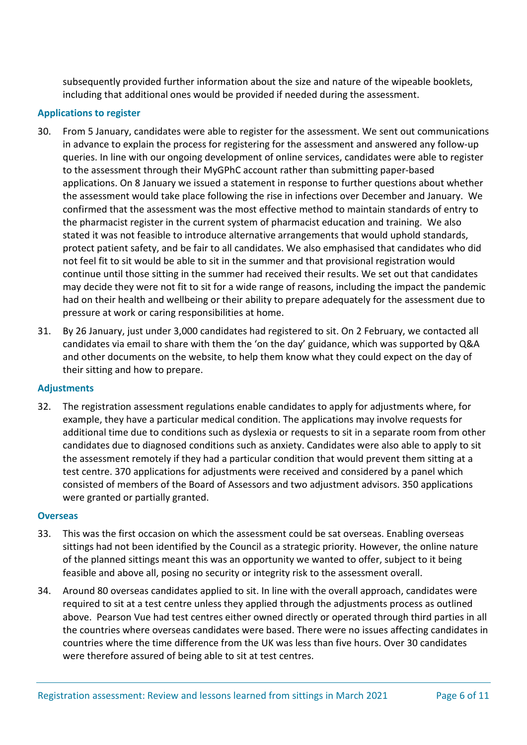subsequently provided further information about the size and nature of the wipeable booklets, including that additional ones would be provided if needed during the assessment.

#### **Applications to register**

- 30. From 5 January, candidates were able to register for the assessment. We sent out communications in advance to explain the process for registering for the assessment and answered any follow-up queries. In line with our ongoing development of online services, candidates were able to register to the assessment through their MyGPhC account rather than submitting paper-based applications. On 8 January we issued a statement in response to further questions about whether the assessment would take place following the rise in infections over December and January. We confirmed that the assessment was the most effective method to maintain standards of entry to the pharmacist register in the current system of pharmacist education and training. We also stated it was not feasible to introduce alternative arrangements that would uphold standards, protect patient safety, and be fair to all candidates. We also emphasised that candidates who did not feel fit to sit would be able to sit in the summer and that provisional registration would continue until those sitting in the summer had received their results. We set out that candidates may decide they were not fit to sit for a wide range of reasons, including the impact the pandemic had on their health and wellbeing or their ability to prepare adequately for the assessment due to pressure at work or caring responsibilities at home.
- 31. By 26 January, just under 3,000 candidates had registered to sit. On 2 February, we contacted all candidates via email to share with them the 'on the day' guidance, which was supported by Q&A and other documents on the website, to help them know what they could expect on the day of their sitting and how to prepare.

#### **Adjustments**

32. The registration assessment regulations enable candidates to apply for adjustments where, for example, they have a particular medical condition. The applications may involve requests for additional time due to conditions such as dyslexia or requests to sit in a separate room from other candidates due to diagnosed conditions such as anxiety. Candidates were also able to apply to sit the assessment remotely if they had a particular condition that would prevent them sitting at a test centre. 370 applications for adjustments were received and considered by a panel which consisted of members of the Board of Assessors and two adjustment advisors. 350 applications were granted or partially granted.

#### **Overseas**

- 33. This was the first occasion on which the assessment could be sat overseas. Enabling overseas sittings had not been identified by the Council as a strategic priority. However, the online nature of the planned sittings meant this was an opportunity we wanted to offer, subject to it being feasible and above all, posing no security or integrity risk to the assessment overall.
- 34. Around 80 overseas candidates applied to sit. In line with the overall approach, candidates were required to sit at a test centre unless they applied through the adjustments process as outlined above. Pearson Vue had test centres either owned directly or operated through third parties in all the countries where overseas candidates were based. There were no issues affecting candidates in countries where the time difference from the UK was less than five hours. Over 30 candidates were therefore assured of being able to sit at test centres.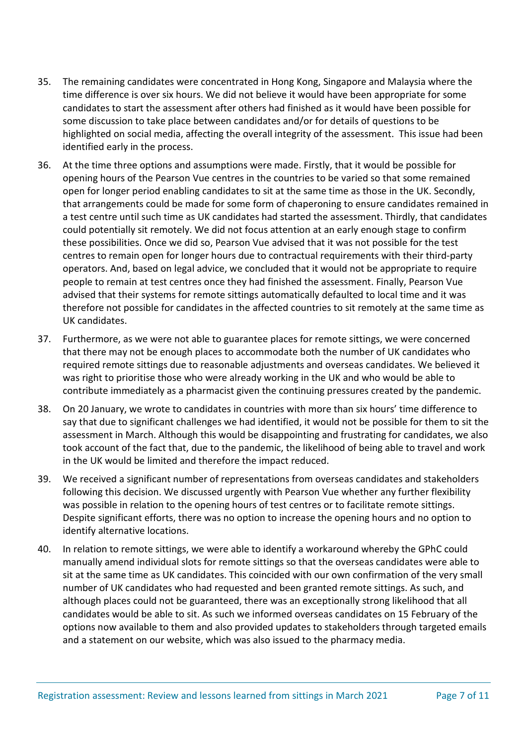- 35. The remaining candidates were concentrated in Hong Kong, Singapore and Malaysia where the time difference is over six hours. We did not believe it would have been appropriate for some candidates to start the assessment after others had finished as it would have been possible for some discussion to take place between candidates and/or for details of questions to be highlighted on social media, affecting the overall integrity of the assessment. This issue had been identified early in the process.
- 36. At the time three options and assumptions were made. Firstly, that it would be possible for opening hours of the Pearson Vue centres in the countries to be varied so that some remained open for longer period enabling candidates to sit at the same time as those in the UK. Secondly, that arrangements could be made for some form of chaperoning to ensure candidates remained in a test centre until such time as UK candidates had started the assessment. Thirdly, that candidates could potentially sit remotely. We did not focus attention at an early enough stage to confirm these possibilities. Once we did so, Pearson Vue advised that it was not possible for the test centres to remain open for longer hours due to contractual requirements with their third-party operators. And, based on legal advice, we concluded that it would not be appropriate to require people to remain at test centres once they had finished the assessment. Finally, Pearson Vue advised that their systems for remote sittings automatically defaulted to local time and it was therefore not possible for candidates in the affected countries to sit remotely at the same time as UK candidates.
- 37. Furthermore, as we were not able to guarantee places for remote sittings, we were concerned that there may not be enough places to accommodate both the number of UK candidates who required remote sittings due to reasonable adjustments and overseas candidates. We believed it was right to prioritise those who were already working in the UK and who would be able to contribute immediately as a pharmacist given the continuing pressures created by the pandemic.
- 38. On 20 January, we wrote to candidates in countries with more than six hours' time difference to say that due to significant challenges we had identified, it would not be possible for them to sit the assessment in March. Although this would be disappointing and frustrating for candidates, we also took account of the fact that, due to the pandemic, the likelihood of being able to travel and work in the UK would be limited and therefore the impact reduced.
- 39. We received a significant number of representations from overseas candidates and stakeholders following this decision. We discussed urgently with Pearson Vue whether any further flexibility was possible in relation to the opening hours of test centres or to facilitate remote sittings. Despite significant efforts, there was no option to increase the opening hours and no option to identify alternative locations.
- 40. In relation to remote sittings, we were able to identify a workaround whereby the GPhC could manually amend individual slots for remote sittings so that the overseas candidates were able to sit at the same time as UK candidates. This coincided with our own confirmation of the very small number of UK candidates who had requested and been granted remote sittings. As such, and although places could not be guaranteed, there was an exceptionally strong likelihood that all candidates would be able to sit. As such we informed overseas candidates on 15 February of the options now available to them and also provided updates to stakeholders through targeted emails and a statement on our website, which was also issued to the pharmacy media.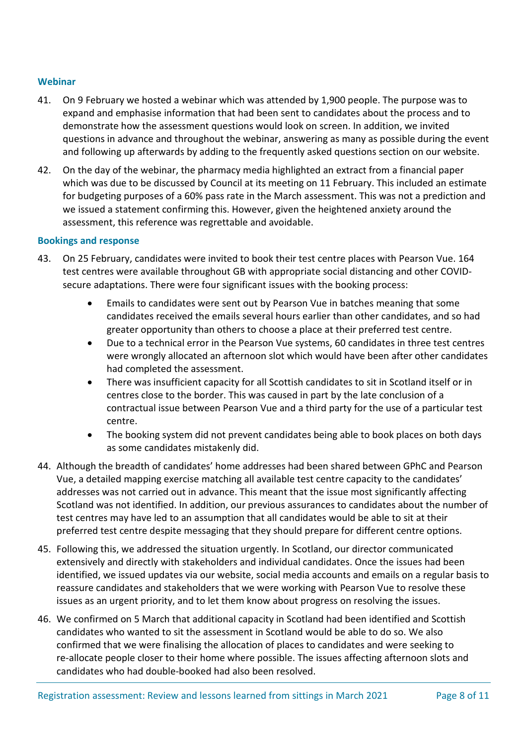#### **Webinar**

- 41. On 9 February we hosted a webinar which was attended by 1,900 people. The purpose was to expand and emphasise information that had been sent to candidates about the process and to demonstrate how the assessment questions would look on screen. In addition, we invited questions in advance and throughout the webinar, answering as many as possible during the event and following up afterwards by adding to the frequently asked questions section on our website.
- 42. On the day of the webinar, the pharmacy media highlighted an extract from a financial paper which was due to be discussed by Council at its meeting on 11 February. This included an estimate for budgeting purposes of a 60% pass rate in the March assessment. This was not a prediction and we issued a statement confirming this. However, given the heightened anxiety around the assessment, this reference was regrettable and avoidable.

#### **Bookings and response**

- 43. On 25 February, candidates were invited to book their test centre places with Pearson Vue. 164 test centres were available throughout GB with appropriate social distancing and other COVIDsecure adaptations. There were four significant issues with the booking process:
	- Emails to candidates were sent out by Pearson Vue in batches meaning that some candidates received the emails several hours earlier than other candidates, and so had greater opportunity than others to choose a place at their preferred test centre.
	- Due to a technical error in the Pearson Vue systems, 60 candidates in three test centres were wrongly allocated an afternoon slot which would have been after other candidates had completed the assessment.
	- There was insufficient capacity for all Scottish candidates to sit in Scotland itself or in centres close to the border. This was caused in part by the late conclusion of a contractual issue between Pearson Vue and a third party for the use of a particular test centre.
	- The booking system did not prevent candidates being able to book places on both days as some candidates mistakenly did.
- 44. Although the breadth of candidates' home addresses had been shared between GPhC and Pearson Vue, a detailed mapping exercise matching all available test centre capacity to the candidates' addresses was not carried out in advance. This meant that the issue most significantly affecting Scotland was not identified. In addition, our previous assurances to candidates about the number of test centres may have led to an assumption that all candidates would be able to sit at their preferred test centre despite messaging that they should prepare for different centre options.
- 45. Following this, we addressed the situation urgently. In Scotland, our director communicated extensively and directly with stakeholders and individual candidates. Once the issues had been identified, we issued updates via our website, social media accounts and emails on a regular basis to reassure candidates and stakeholders that we were working with Pearson Vue to resolve these issues as an urgent priority, and to let them know about progress on resolving the issues.
- 46. We confirmed on 5 March that additional capacity in Scotland had been identified and Scottish candidates who wanted to sit the assessment in Scotland would be able to do so. We also confirmed that we were finalising the allocation of places to candidates and were seeking to re-allocate people closer to their home where possible. The issues affecting afternoon slots and candidates who had double-booked had also been resolved.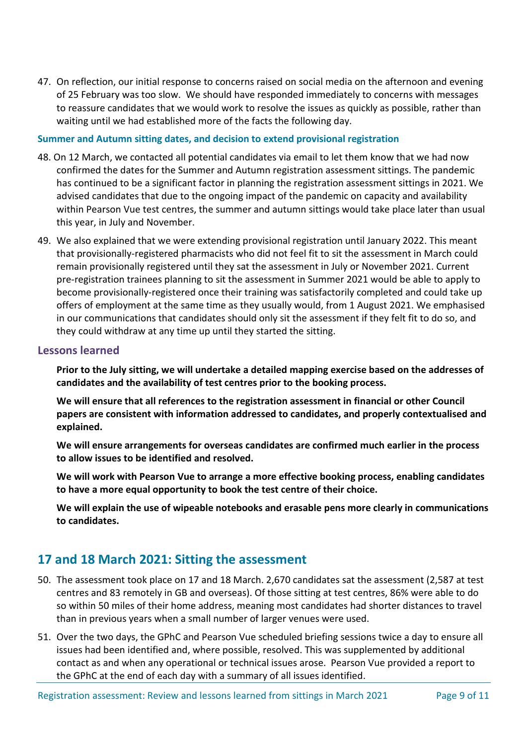47. On reflection, our initial response to concerns raised on social media on the afternoon and evening of 25 February was too slow. We should have responded immediately to concerns with messages to reassure candidates that we would work to resolve the issues as quickly as possible, rather than waiting until we had established more of the facts the following day.

#### **Summer and Autumn sitting dates, and decision to extend provisional registration**

- 48. On 12 March, we contacted all potential candidates via email to let them know that we had now confirmed the dates for the Summer and Autumn registration assessment sittings. The pandemic has continued to be a significant factor in planning the registration assessment sittings in 2021. We advised candidates that due to the ongoing impact of the pandemic on capacity and availability within Pearson Vue test centres, the summer and autumn sittings would take place later than usual this year, in July and November.
- 49. We also explained that we were extending provisional registration until January 2022. This meant that provisionally-registered pharmacists who did not feel fit to sit the assessment in March could remain provisionally registered until they sat the assessment in July or November 2021. Current pre-registration trainees planning to sit the assessment in Summer 2021 would be able to apply to become provisionally-registered once their training was satisfactorily completed and could take up offers of employment at the same time as they usually would, from 1 August 2021. We emphasised in our communications that candidates should only sit the assessment if they felt fit to do so, and they could withdraw at any time up until they started the sitting.

#### **Lessons learned**

**Prior to the July sitting, we will undertake a detailed mapping exercise based on the addresses of candidates and the availability of test centres prior to the booking process.**

**We will ensure that all references to the registration assessment in financial or other Council papers are consistent with information addressed to candidates, and properly contextualised and explained.**

**We will ensure arrangements for overseas candidates are confirmed much earlier in the process to allow issues to be identified and resolved.** 

**We will work with Pearson Vue to arrange a more effective booking process, enabling candidates to have a more equal opportunity to book the test centre of their choice.** 

**We will explain the use of wipeable notebooks and erasable pens more clearly in communications to candidates.**

## **17 and 18 March 2021: Sitting the assessment**

- 50. The assessment took place on 17 and 18 March. 2,670 candidates sat the assessment (2,587 at test centres and 83 remotely in GB and overseas). Of those sitting at test centres, 86% were able to do so within 50 miles of their home address, meaning most candidates had shorter distances to travel than in previous years when a small number of larger venues were used.
- 51. Over the two days, the GPhC and Pearson Vue scheduled briefing sessions twice a day to ensure all issues had been identified and, where possible, resolved. This was supplemented by additional contact as and when any operational or technical issues arose. Pearson Vue provided a report to the GPhC at the end of each day with a summary of all issues identified.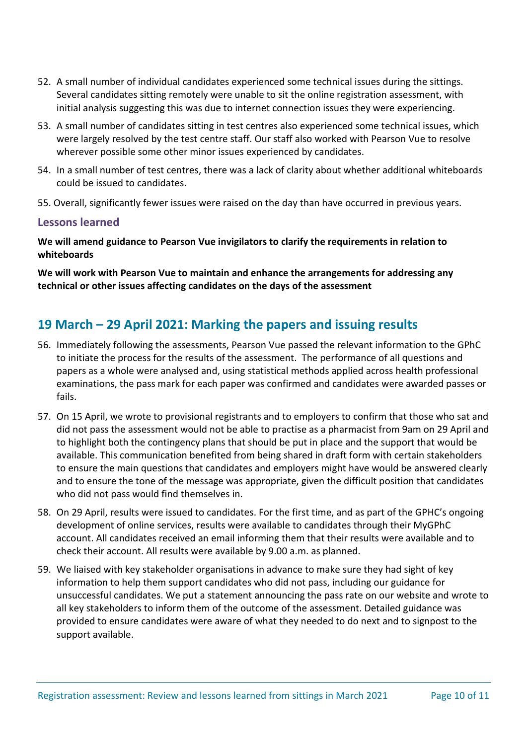- 52. A small number of individual candidates experienced some technical issues during the sittings. Several candidates sitting remotely were unable to sit the online registration assessment, with initial analysis suggesting this was due to internet connection issues they were experiencing.
- 53. A small number of candidates sitting in test centres also experienced some technical issues, which were largely resolved by the test centre staff. Our staff also worked with Pearson Vue to resolve wherever possible some other minor issues experienced by candidates.
- 54. In a small number of test centres, there was a lack of clarity about whether additional whiteboards could be issued to candidates.
- 55. Overall, significantly fewer issues were raised on the day than have occurred in previous years.

#### **Lessons learned**

**We will amend guidance to Pearson Vue invigilators to clarify the requirements in relation to whiteboards**

**We will work with Pearson Vue to maintain and enhance the arrangements for addressing any technical or other issues affecting candidates on the days of the assessment** 

## **19 March – 29 April 2021: Marking the papers and issuing results**

- 56. Immediately following the assessments, Pearson Vue passed the relevant information to the GPhC to initiate the process for the results of the assessment. The performance of all questions and papers as a whole were analysed and, using statistical methods applied across health professional examinations, the pass mark for each paper was confirmed and candidates were awarded passes or fails.
- 57. On 15 April, we wrote to provisional registrants and to employers to confirm that those who sat and did not pass the assessment would not be able to practise as a pharmacist from 9am on 29 April and to highlight both the contingency plans that should be put in place and the support that would be available. This communication benefited from being shared in draft form with certain stakeholders to ensure the main questions that candidates and employers might have would be answered clearly and to ensure the tone of the message was appropriate, given the difficult position that candidates who did not pass would find themselves in.
- 58. On 29 April, results were issued to candidates. For the first time, and as part of the GPHC's ongoing development of online services, results were available to candidates through their MyGPhC account. All candidates received an email informing them that their results were available and to check their account. All results were available by 9.00 a.m. as planned.
- 59. We liaised with key stakeholder organisations in advance to make sure they had sight of key information to help them support candidates who did not pass, including our guidance for unsuccessful candidates. We put a statement announcing the pass rate on our website and wrote to all key stakeholders to inform them of the outcome of the assessment. Detailed guidance was provided to ensure candidates were aware of what they needed to do next and to signpost to the support available.